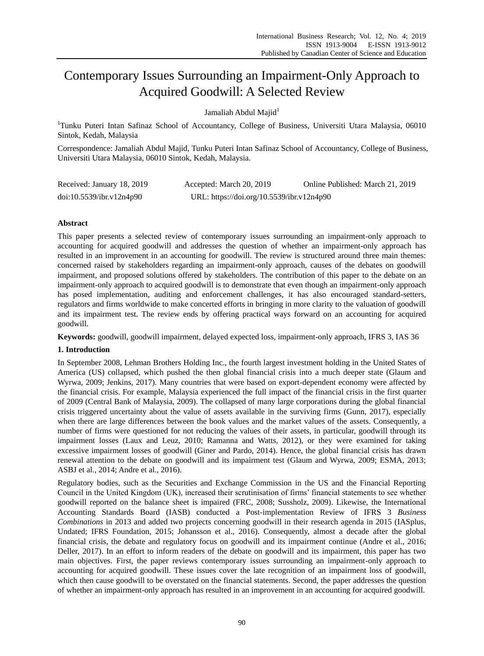# Contemporary Issues Surrounding an Impairment-Only Approach to Acquired Goodwill: A Selected Review

Jamaliah Abdul Maiid<sup>1</sup>

<sup>1</sup>Tunku Puteri Intan Safinaz School of Accountancy, College of Business, Universiti Utara Malaysia, 06010 Sintok, Kedah, Malaysia

Correspondence: Jamaliah Abdul Majid, Tunku Puteri Intan Safinaz School of Accountancy, College of Business, Universiti Utara Malaysia, 06010 Sintok, Kedah, Malaysia.

| Received: January 18, 2019 | Accepted: March 20, 2019                  | Online Published: March 21, 2019 |
|----------------------------|-------------------------------------------|----------------------------------|
| doi:10.5539/ibr.v12n4p90   | URL: https://doi.org/10.5539/ibr.v12n4p90 |                                  |

# **Abstract**

This paper presents a selected review of contemporary issues surrounding an impairment-only approach to accounting for acquired goodwill and addresses the question of whether an impairment-only approach has resulted in an improvement in an accounting for goodwill. The review is structured around three main themes: concerned raised by stakeholders regarding an impairment-only approach, causes of the debates on goodwill impairment, and proposed solutions offered by stakeholders. The contribution of this paper to the debate on an impairment-only approach to acquired goodwill is to demonstrate that even though an impairment-only approach has posed implementation, auditing and enforcement challenges, it has also encouraged standard-setters, regulators and firms worldwide to make concerted efforts in bringing in more clarity to the valuation of goodwill and its impairment test. The review ends by offering practical ways forward on an accounting for acquired goodwill.

**Keywords:** goodwill, goodwill impairment, delayed expected loss, impairment-only approach, IFRS 3, IAS 36

## **1. Introduction**

In September 2008, Lehman Brothers Holding Inc., the fourth largest investment holding in the United States of America (US) collapsed, which pushed the then global financial crisis into a much deeper state (Glaum and Wyrwa, 2009; Jenkins, 2017). Many countries that were based on export-dependent economy were affected by the financial crisis. For example, Malaysia experienced the full impact of the financial crisis in the first quarter of 2009 (Central Bank of Malaysia, 2009). The collapsed of many large corporations during the global financial crisis triggered uncertainty about the value of assets available in the surviving firms (Gunn, 2017), especially when there are large differences between the book values and the market values of the assets. Consequently, a number of firms were questioned for not reducing the values of their assets, in particular, goodwill through its impairment losses (Laux and Leuz, 2010; Ramanna and Watts, 2012), or they were examined for taking excessive impairment losses of goodwill (Giner and Pardo, 2014). Hence, the global financial crisis has drawn renewal attention to the debate on goodwill and its impairment test (Glaum and Wyrwa, 2009; ESMA, 2013; ASBJ et al., 2014; Andre et al., 2016).

Regulatory bodies, such as the Securities and Exchange Commission in the US and the Financial Reporting Council in the United Kingdom (UK), increased their scrutinisation of firms' financial statements to see whether goodwill reported on the balance sheet is impaired (FRC, 2008; Sussholz, 2009). Likewise, the International Accounting Standards Board (IASB) conducted a Post-implementation Review of IFRS 3 *Business Combinations* in 2013 and added two projects concerning goodwill in their research agenda in 2015 (IASplus, Undated; IFRS Foundation, 2015; Johansson et al., 2016). Consequently, almost a decade after the global financial crisis, the debate and regulatory focus on goodwill and its impairment continue (Andre et al., 2016; Deller, 2017). In an effort to inform readers of the debate on goodwill and its impairment, this paper has two main objectives. First, the paper reviews contemporary issues surrounding an impairment-only approach to accounting for acquired goodwill. These issues cover the late recognition of an impairment loss of goodwill, which then cause goodwill to be overstated on the financial statements. Second, the paper addresses the question of whether an impairment-only approach has resulted in an improvement in an accounting for acquired goodwill.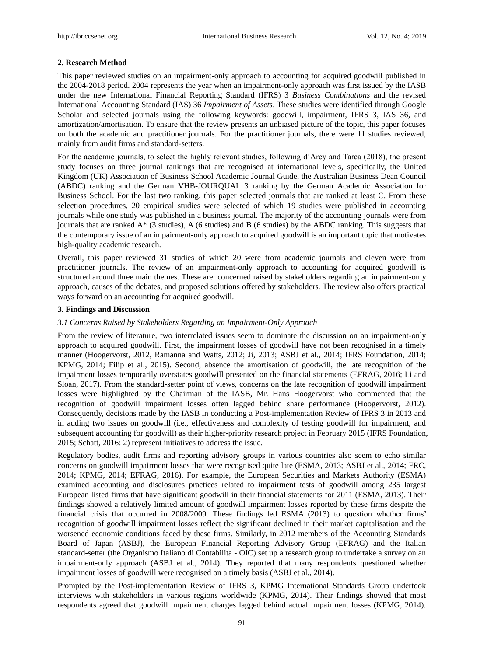### **2. Research Method**

This paper reviewed studies on an impairment-only approach to accounting for acquired goodwill published in the 2004-2018 period. 2004 represents the year when an impairment-only approach was first issued by the IASB under the new International Financial Reporting Standard (IFRS) 3 *Business Combinations* and the revised International Accounting Standard (IAS) 36 *Impairment of Assets*. These studies were identified through Google Scholar and selected journals using the following keywords: goodwill, impairment, IFRS 3, IAS 36, and amortization/amortisation. To ensure that the review presents an unbiased picture of the topic, this paper focuses on both the academic and practitioner journals. For the practitioner journals, there were 11 studies reviewed, mainly from audit firms and standard-setters.

For the academic journals, to select the highly relevant studies, following d'Arcy and Tarca (2018), the present study focuses on three journal rankings that are recognised at international levels, specifically, the United Kingdom (UK) Association of Business School Academic Journal Guide, the Australian Business Dean Council (ABDC) ranking and the German VHB-JOURQUAL 3 ranking by the German Academic Association for Business School. For the last two ranking, this paper selected journals that are ranked at least C. From these selection procedures, 20 empirical studies were selected of which 19 studies were published in accounting journals while one study was published in a business journal. The majority of the accounting journals were from journals that are ranked A\* (3 studies), A (6 studies) and B (6 studies) by the ABDC ranking. This suggests that the contemporary issue of an impairment-only approach to acquired goodwill is an important topic that motivates high-quality academic research.

Overall, this paper reviewed 31 studies of which 20 were from academic journals and eleven were from practitioner journals. The review of an impairment-only approach to accounting for acquired goodwill is structured around three main themes. These are: concerned raised by stakeholders regarding an impairment-only approach, causes of the debates, and proposed solutions offered by stakeholders. The review also offers practical ways forward on an accounting for acquired goodwill.

#### **3. Findings and Discussion**

#### *3.1 Concerns Raised by Stakeholders Regarding an Impairment-Only Approach*

From the review of literature, two interrelated issues seem to dominate the discussion on an impairment-only approach to acquired goodwill. First, the impairment losses of goodwill have not been recognised in a timely manner (Hoogervorst, 2012, Ramanna and Watts, 2012; Ji, 2013; ASBJ et al., 2014; IFRS Foundation, 2014; KPMG, 2014; Filip et al., 2015). Second, absence the amortisation of goodwill, the late recognition of the impairment losses temporarily overstates goodwill presented on the financial statements (EFRAG, 2016; Li and Sloan, 2017). From the standard-setter point of views, concerns on the late recognition of goodwill impairment losses were highlighted by the Chairman of the IASB, Mr. Hans Hoogervorst who commented that the recognition of goodwill impairment losses often lagged behind share performance (Hoogervorst, 2012). Consequently, decisions made by the IASB in conducting a Post-implementation Review of IFRS 3 in 2013 and in adding two issues on goodwill (i.e., effectiveness and complexity of testing goodwill for impairment, and subsequent accounting for goodwill) as their higher-priority research project in February 2015 (IFRS Foundation, 2015; Schatt, 2016: 2) represent initiatives to address the issue.

Regulatory bodies, audit firms and reporting advisory groups in various countries also seem to echo similar concerns on goodwill impairment losses that were recognised quite late (ESMA, 2013; ASBJ et al., 2014; FRC, 2014; KPMG, 2014; EFRAG, 2016). For example, the European Securities and Markets Authority (ESMA) examined accounting and disclosures practices related to impairment tests of goodwill among 235 largest European listed firms that have significant goodwill in their financial statements for 2011 (ESMA, 2013). Their findings showed a relatively limited amount of goodwill impairment losses reported by these firms despite the financial crisis that occurred in 2008/2009. These findings led ESMA (2013) to question whether firms' recognition of goodwill impairment losses reflect the significant declined in their market capitalisation and the worsened economic conditions faced by these firms. Similarly, in 2012 members of the Accounting Standards Board of Japan (ASBJ), the European Financial Reporting Advisory Group (EFRAG) and the Italian standard-setter (the Organismo Italiano di Contabilita - OIC) set up a research group to undertake a survey on an impairment-only approach (ASBJ et al., 2014). They reported that many respondents questioned whether impairment losses of goodwill were recognised on a timely basis (ASBJ et al., 2014).

Prompted by the Post-implementation Review of IFRS 3, KPMG International Standards Group undertook interviews with stakeholders in various regions worldwide (KPMG, 2014). Their findings showed that most respondents agreed that goodwill impairment charges lagged behind actual impairment losses (KPMG, 2014).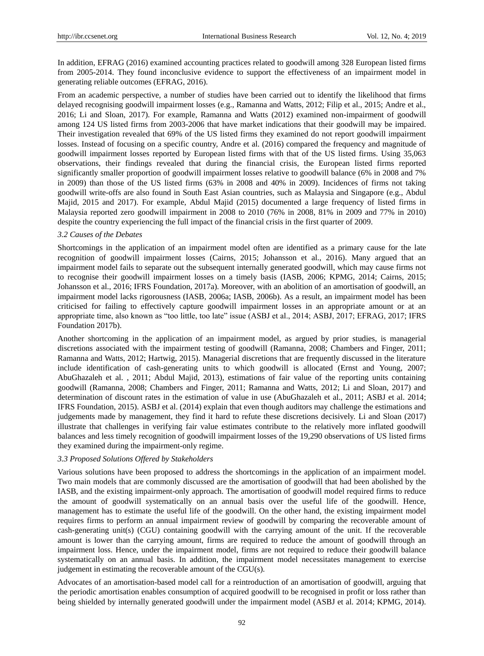In addition, EFRAG (2016) examined accounting practices related to goodwill among 328 European listed firms from 2005-2014. They found inconclusive evidence to support the effectiveness of an impairment model in generating reliable outcomes (EFRAG, 2016).

From an academic perspective, a number of studies have been carried out to identify the likelihood that firms delayed recognising goodwill impairment losses (e.g., Ramanna and Watts, 2012; Filip et al., 2015; Andre et al., 2016; Li and Sloan, 2017). For example, Ramanna and Watts (2012) examined non-impairment of goodwill among 124 US listed firms from 2003-2006 that have market indications that their goodwill may be impaired. Their investigation revealed that 69% of the US listed firms they examined do not report goodwill impairment losses. Instead of focusing on a specific country, Andre et al. (2016) compared the frequency and magnitude of goodwill impairment losses reported by European listed firms with that of the US listed firms. Using 35,063 observations, their findings revealed that during the financial crisis, the European listed firms reported significantly smaller proportion of goodwill impairment losses relative to goodwill balance (6% in 2008 and 7% in 2009) than those of the US listed firms (63% in 2008 and 40% in 2009). Incidences of firms not taking goodwill write-offs are also found in South East Asian countries, such as Malaysia and Singapore (e.g., Abdul Majid, 2015 and 2017). For example, Abdul Majid (2015) documented a large frequency of listed firms in Malaysia reported zero goodwill impairment in 2008 to 2010 (76% in 2008, 81% in 2009 and 77% in 2010) despite the country experiencing the full impact of the financial crisis in the first quarter of 2009.

## *3.2 Causes of the Debates*

Shortcomings in the application of an impairment model often are identified as a primary cause for the late recognition of goodwill impairment losses (Cairns, 2015; Johansson et al., 2016). Many argued that an impairment model fails to separate out the subsequent internally generated goodwill, which may cause firms not to recognise their goodwill impairment losses on a timely basis (IASB, 2006; KPMG, 2014; Cairns, 2015; Johansson et al., 2016; IFRS Foundation, 2017a). Moreover, with an abolition of an amortisation of goodwill, an impairment model lacks rigorousness (IASB, 2006a; IASB, 2006b). As a result, an impairment model has been criticised for failing to effectively capture goodwill impairment losses in an appropriate amount or at an appropriate time, also known as "too little, too late" issue (ASBJ et al., 2014; ASBJ, 2017; EFRAG, 2017; IFRS Foundation 2017b).

Another shortcoming in the application of an impairment model, as argued by prior studies, is managerial discretions associated with the impairment testing of goodwill (Ramanna, 2008; Chambers and Finger, 2011; Ramanna and Watts, 2012; Hartwig, 2015). Managerial discretions that are frequently discussed in the literature include identification of cash-generating units to which goodwill is allocated (Ernst and Young, 2007; AbuGhazaleh et al. , 2011; Abdul Majid, 2013), estimations of fair value of the reporting units containing goodwill (Ramanna, 2008; Chambers and Finger, 2011; Ramanna and Watts, 2012; Li and Sloan, 2017) and determination of discount rates in the estimation of value in use (AbuGhazaleh et al., 2011; ASBJ et al. 2014; IFRS Foundation, 2015). ASBJ et al. (2014) explain that even though auditors may challenge the estimations and judgements made by management, they find it hard to refute these discretions decisively. Li and Sloan (2017) illustrate that challenges in verifying fair value estimates contribute to the relatively more inflated goodwill balances and less timely recognition of goodwill impairment losses of the 19,290 observations of US listed firms they examined during the impairment-only regime.

#### *3.3 Proposed Solutions Offered by Stakeholders*

Various solutions have been proposed to address the shortcomings in the application of an impairment model. Two main models that are commonly discussed are the amortisation of goodwill that had been abolished by the IASB, and the existing impairment-only approach. The amortisation of goodwill model required firms to reduce the amount of goodwill systematically on an annual basis over the useful life of the goodwill. Hence, management has to estimate the useful life of the goodwill. On the other hand, the existing impairment model requires firms to perform an annual impairment review of goodwill by comparing the recoverable amount of cash-generating unit(s) (CGU) containing goodwill with the carrying amount of the unit. If the recoverable amount is lower than the carrying amount, firms are required to reduce the amount of goodwill through an impairment loss. Hence, under the impairment model, firms are not required to reduce their goodwill balance systematically on an annual basis. In addition, the impairment model necessitates management to exercise judgement in estimating the recoverable amount of the CGU(s).

Advocates of an amortisation-based model call for a reintroduction of an amortisation of goodwill, arguing that the periodic amortisation enables consumption of acquired goodwill to be recognised in profit or loss rather than being shielded by internally generated goodwill under the impairment model (ASBJ et al. 2014; KPMG, 2014).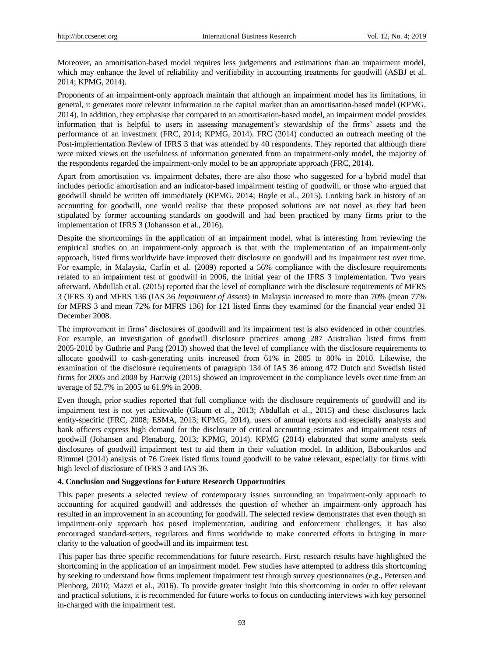Moreover, an amortisation-based model requires less judgements and estimations than an impairment model, which may enhance the level of reliability and verifiability in accounting treatments for goodwill (ASBJ et al. 2014; KPMG, 2014).

Proponents of an impairment-only approach maintain that although an impairment model has its limitations, in general, it generates more relevant information to the capital market than an amortisation-based model (KPMG, 2014). In addition, they emphasise that compared to an amortisation-based model, an impairment model provides information that is helpful to users in assessing management's stewardship of the firms' assets and the performance of an investment (FRC, 2014; KPMG, 2014). FRC (2014) conducted an outreach meeting of the Post-implementation Review of IFRS 3 that was attended by 40 respondents. They reported that although there were mixed views on the usefulness of information generated from an impairment-only model, the majority of the respondents regarded the impairment-only model to be an appropriate approach (FRC, 2014).

Apart from amortisation vs. impairment debates, there are also those who suggested for a hybrid model that includes periodic amortisation and an indicator-based impairment testing of goodwill, or those who argued that goodwill should be written off immediately (KPMG, 2014; Boyle et al., 2015). Looking back in history of an accounting for goodwill, one would realise that these proposed solutions are not novel as they had been stipulated by former accounting standards on goodwill and had been practiced by many firms prior to the implementation of IFRS 3 (Johansson et al., 2016).

Despite the shortcomings in the application of an impairment model, what is interesting from reviewing the empirical studies on an impairment-only approach is that with the implementation of an impairment-only approach, listed firms worldwide have improved their disclosure on goodwill and its impairment test over time. For example, in Malaysia, Carlin et al. (2009) reported a 56% compliance with the disclosure requirements related to an impairment test of goodwill in 2006, the initial year of the IFRS 3 implementation. Two years afterward, Abdullah et al. (2015) reported that the level of compliance with the disclosure requirements of MFRS 3 (IFRS 3) and MFRS 136 (IAS 36 *Impairment of Assets*) in Malaysia increased to more than 70% (mean 77% for MFRS 3 and mean 72% for MFRS 136) for 121 listed firms they examined for the financial year ended 31 December 2008.

The improvement in firms' disclosures of goodwill and its impairment test is also evidenced in other countries. For example, an investigation of goodwill disclosure practices among 287 Australian listed firms from 2005-2010 by Guthrie and Pang (2013) showed that the level of compliance with the disclosure requirements to allocate goodwill to cash-generating units increased from 61% in 2005 to 80% in 2010. Likewise, the examination of the disclosure requirements of paragraph 134 of IAS 36 among 472 Dutch and Swedish listed firms for 2005 and 2008 by Hartwig (2015) showed an improvement in the compliance levels over time from an average of 52.7% in 2005 to 61.9% in 2008.

Even though, prior studies reported that full compliance with the disclosure requirements of goodwill and its impairment test is not yet achievable (Glaum et al., 2013; Abdullah et al., 2015) and these disclosures lack entity-specific (FRC, 2008; ESMA, 2013; KPMG, 2014), users of annual reports and especially analysts and bank officers express high demand for the disclosure of critical accounting estimates and impairment tests of goodwill (Johansen and Plenaborg, 2013; KPMG, 2014). KPMG (2014) elaborated that some analysts seek disclosures of goodwill impairment test to aid them in their valuation model. In addition, Baboukardos and Rimmel (2014) analysis of 76 Greek listed firms found goodwill to be value relevant, especially for firms with high level of disclosure of IFRS 3 and IAS 36.

#### **4. Conclusion and Suggestions for Future Research Opportunities**

This paper presents a selected review of contemporary issues surrounding an impairment-only approach to accounting for acquired goodwill and addresses the question of whether an impairment-only approach has resulted in an improvement in an accounting for goodwill. The selected review demonstrates that even though an impairment-only approach has posed implementation, auditing and enforcement challenges, it has also encouraged standard-setters, regulators and firms worldwide to make concerted efforts in bringing in more clarity to the valuation of goodwill and its impairment test.

This paper has three specific recommendations for future research. First, research results have highlighted the shortcoming in the application of an impairment model. Few studies have attempted to address this shortcoming by seeking to understand how firms implement impairment test through survey questionnaires (e.g., Petersen and Plenborg, 2010; Mazzi et al., 2016). To provide greater insight into this shortcoming in order to offer relevant and practical solutions, it is recommended for future works to focus on conducting interviews with key personnel in-charged with the impairment test.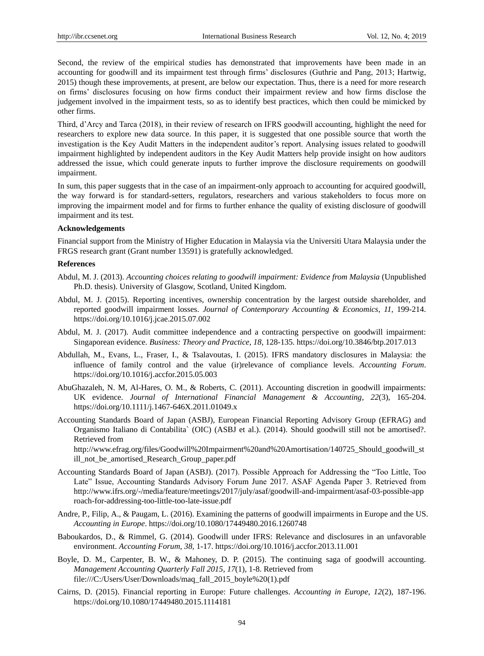Second, the review of the empirical studies has demonstrated that improvements have been made in an accounting for goodwill and its impairment test through firms' disclosures (Guthrie and Pang, 2013; Hartwig, 2015) though these improvements, at present, are below our expectation. Thus, there is a need for more research on firms' disclosures focusing on how firms conduct their impairment review and how firms disclose the judgement involved in the impairment tests, so as to identify best practices, which then could be mimicked by other firms.

Third, d'Arcy and Tarca (2018), in their review of research on IFRS goodwill accounting, highlight the need for researchers to explore new data source. In this paper, it is suggested that one possible source that worth the investigation is the Key Audit Matters in the independent auditor's report. Analysing issues related to goodwill impairment highlighted by independent auditors in the Key Audit Matters help provide insight on how auditors addressed the issue, which could generate inputs to further improve the disclosure requirements on goodwill impairment.

In sum, this paper suggests that in the case of an impairment-only approach to accounting for acquired goodwill, the way forward is for standard-setters, regulators, researchers and various stakeholders to focus more on improving the impairment model and for firms to further enhance the quality of existing disclosure of goodwill impairment and its test.

#### **Acknowledgements**

Financial support from the Ministry of Higher Education in Malaysia via the Universiti Utara Malaysia under the FRGS research grant (Grant number 13591) is gratefully acknowledged.

#### **References**

- Abdul, M. J. (2013). *Accounting choices relating to goodwill impairment: Evidence from Malaysia* (Unpublished Ph.D. thesis). University of Glasgow, Scotland, United Kingdom.
- Abdul, M. J. (2015). Reporting incentives, ownership concentration by the largest outside shareholder, and reported goodwill impairment losses. *Journal of Contemporary Accounting & Economics*, *11,* 199-214. <https://doi.org/10.1016/j.jcae.2015.07.002>
- Abdul, M. J. (2017). Audit committee independence and a contracting perspective on goodwill impairment: Singaporean evidence. *Business: Theory and Practice*, *18,* 128-135. <https://doi.org/10.3846/btp.2017.013>
- Abdullah, M., Evans, L., Fraser, I., & Tsalavoutas, I. (2015). IFRS mandatory disclosures in Malaysia: the influence of family control and the value (ir)relevance of compliance levels. *Accounting Forum*. https://doi.org/10.1016/j.accfor.2015.05.003
- AbuGhazaleh, N. M, Al-Hares, O. M., & Roberts, C. (2011). Accounting discretion in goodwill impairments: UK evidence. *Journal of International Financial Management & Accounting*, *22*(3), 165-204. https://doi.org/10.1111/j.1467-646X.2011.01049.x
- Accounting Standards Board of Japan (ASBJ), European Financial Reporting Advisory Group (EFRAG) and Organismo Italiano di Contabilita` (OIC) (ASBJ et al.). (2014). Should goodwill still not be amortised?. Retrieved from

[http://www.efrag.org/files/Goodwill%20Impairment%20and%20Amortisation/140725\\_Should\\_goodwill\\_st](http://www.efrag.org/files/Goodwill%20Impairment%20and%20Amortisation/140725_Should_goodwill_still_not_be_amortised_Research_Group_paper.pdf) [ill\\_not\\_be\\_amortised\\_Research\\_Group\\_paper.pdf](http://www.efrag.org/files/Goodwill%20Impairment%20and%20Amortisation/140725_Should_goodwill_still_not_be_amortised_Research_Group_paper.pdf)

- Accounting Standards Board of Japan (ASBJ). (2017). Possible Approach for Addressing the "Too Little, Too Late" Issue, Accounting Standards Advisory Forum June 2017. ASAF Agenda Paper 3. Retrieved from http://www.ifrs.org/-/media/feature/meetings/2017/july/asaf/goodwill-and-impairment/asaf-03-possible-app roach-for-addressing-too-little-too-late-issue.pdf
- Andre, P., Filip, A., & Paugam, L. (2016). Examining the patterns of goodwill impairments in Europe and the US. *Accounting in Europe*. https://doi.org/10.1080/17449480.2016.1260748
- Baboukardos, D., & Rimmel, G. (2014). Goodwill under IFRS: Relevance and disclosures in an unfavorable environment. *Accounting Forum*, *38,* 1-17. https://doi.org/10.1016/j.accfor.2013.11.001
- Boyle, D. M., Carpenter, B. W., & Mahoney, D. P. (2015). The continuing saga of goodwill accounting. *Management Accounting Quarterly Fall 2015*, *17*(1), 1-8. Retrieved from [file:///C:/Users/User/Downloads/maq\\_fall\\_2015\\_boyle%20\(1\).pdf](file:///C:/Users/User/Downloads/maq_fall_2015_boyle%20(1).pdf)
- Cairns, D. (2015). Financial reporting in Europe: Future challenges. *Accounting in Europe*, *12*(2), 187-196. https://doi.org/10.1080/17449480.2015.1114181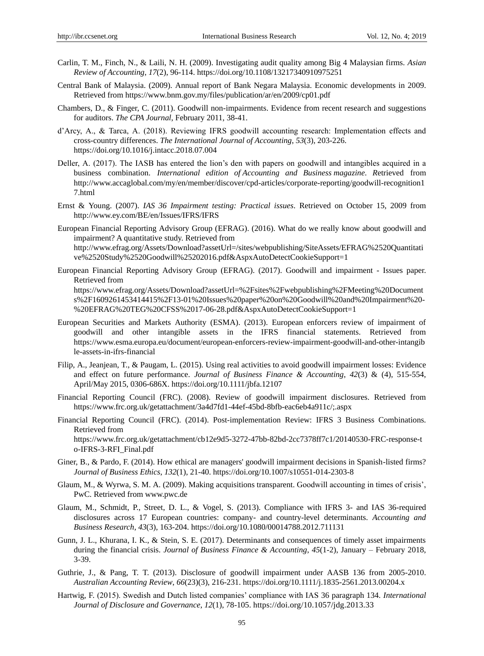- Carlin, T. M., Finch, N., & Laili, N. H. (2009). Investigating audit quality among Big 4 Malaysian firms. *Asian Review of Accounting*, *17*(2), 96-114. https://doi.org/10.1108/13217340910975251
- Central Bank of Malaysia. (2009). Annual report of Bank Negara Malaysia. Economic developments in 2009. Retrieved from<https://www.bnm.gov.my/files/publication/ar/en/2009/cp01.pdf>
- Chambers, D., & Finger, C. (2011). Goodwill non-impairments. Evidence from recent research and suggestions for auditors. *The CPA Journal*, February 2011, 38-41.
- d'Arcy, A., & Tarca, A. (2018). Reviewing IFRS goodwill accounting research: Implementation effects and cross-country differences. *The International Journal of Accounting*, *53*(3), 203-226. https://doi.org/10.1016/j.intacc.2018.07.004
- Deller, A. (2017). The IASB has entered the lion's den with papers on goodwill and intangibles acquired in a business combination. *International edition of Accounting and Business magazine*. *R*etrieved from [http://www.accaglobal.com/my/en/member/discover/cpd-articles/corporate-reporting/goodwill-recognition1](http://www.accaglobal.com/my/en/member/discover/cpd-articles/corporate-reporting/goodwill-recognition17.html) [7.html](http://www.accaglobal.com/my/en/member/discover/cpd-articles/corporate-reporting/goodwill-recognition17.html)
- Ernst & Young. (2007). *IAS 36 Impairment testing: Practical issues*. Retrieved on October 15, 2009 from <http://www.ey.com/BE/en/Issues/IFRS/IFRS>
- European Financial Reporting Advisory Group (EFRAG). (2016). What do we really know about goodwill and impairment? A quantitative study. Retrieved from [http://www.efrag.org/Assets/Download?assetUrl=/sites/webpublishing/SiteAssets/EFRAG%2520Quantitati](http://www.efrag.org/Assets/Download?assetUrl=/sites/webpublishing/SiteAssets/EFRAG%2520Quantitative%2520Study%2520Goodwill%25202016.pdf&AspxAutoDetectCookieSupport=1) [ve%2520Study%2520Goodwill%25202016.pdf&AspxAutoDetectCookieSupport=1](http://www.efrag.org/Assets/Download?assetUrl=/sites/webpublishing/SiteAssets/EFRAG%2520Quantitative%2520Study%2520Goodwill%25202016.pdf&AspxAutoDetectCookieSupport=1)
- European Financial Reporting Advisory Group (EFRAG). (2017). Goodwill and impairment Issues paper. Retrieved from [https://www.efrag.org/Assets/Download?assetUrl=%2Fsites%2Fwebpublishing%2FMeeting%20Document](https://www.efrag.org/Assets/Download?assetUrl=%2Fsites%2Fwebpublishing%2FMeeting%20Documents%2F1609261453414415%2F13-01%20Issues%20paper%20on%20Goodwill%20and%20Impairment%20-%20EFRAG%20TEG%20CFSS%2017-06-28.pdf&AspxAutoDetectCookieSupport=1) [s%2F1609261453414415%2F13-01%20Issues%20paper%20on%20Goodwill%20and%20Impairment%20-](https://www.efrag.org/Assets/Download?assetUrl=%2Fsites%2Fwebpublishing%2FMeeting%20Documents%2F1609261453414415%2F13-01%20Issues%20paper%20on%20Goodwill%20and%20Impairment%20-%20EFRAG%20TEG%20CFSS%2017-06-28.pdf&AspxAutoDetectCookieSupport=1) [%20EFRAG%20TEG%20CFSS%2017-06-28.pdf&AspxAutoDetectCookieSupport=1](https://www.efrag.org/Assets/Download?assetUrl=%2Fsites%2Fwebpublishing%2FMeeting%20Documents%2F1609261453414415%2F13-01%20Issues%20paper%20on%20Goodwill%20and%20Impairment%20-%20EFRAG%20TEG%20CFSS%2017-06-28.pdf&AspxAutoDetectCookieSupport=1)
- European Securities and Markets Authority (ESMA). (2013). European enforcers review of impairment of goodwill and other intangible assets in the IFRS financial statements. Retrieved from [https://www.esma.europa.eu/document/european-enforcers-review-impairment-goodwill-and-other-intangib](https://www.esma.europa.eu/document/european-enforcers-review-impairment-goodwill-and-other-intangible-assets-in-ifrs-financial) [le-assets-in-ifrs-financial](https://www.esma.europa.eu/document/european-enforcers-review-impairment-goodwill-and-other-intangible-assets-in-ifrs-financial)
- Filip, A., Jeanjean, T., & Paugam, L. (2015). Using real activities to avoid goodwill impairment losses: Evidence and effect on future performance. *Journal of Business Finance & Accounting*, *42*(3) & (4), 515-554, April/May 2015, 0306-686X. https://doi.org/10.1111/jbfa.12107
- Financial Reporting Council (FRC). (2008). Review of goodwill impairment disclosures. Retrieved from <https://www.frc.org.uk/getattachment/3a4d7fd1-44ef-45bd-8bfb-eac6eb4a911c/;.aspx>
- Financial Reporting Council (FRC). (2014). Post-implementation Review: IFRS 3 Business Combinations. Retrieved from [https://www.frc.org.uk/getattachment/cb12e9d5-3272-47bb-82bd-2cc7378ff7c1/20140530-FRC-response-t](https://www.frc.org.uk/getattachment/cb12e9d5-3272-47bb-82bd-2cc7378ff7c1/20140530-FRC-response-to-IFRS-3-RFI_Final.pdf) [o-IFRS-3-RFI\\_Final.pdf](https://www.frc.org.uk/getattachment/cb12e9d5-3272-47bb-82bd-2cc7378ff7c1/20140530-FRC-response-to-IFRS-3-RFI_Final.pdf)
- Giner, B., & Pardo, F. (2014). How ethical are managers' goodwill impairment decisions in Spanish-listed firms? *Journal of Business Ethics*, *132*(1), 21-40. https://doi.org/10.1007/s10551-014-2303-8
- Glaum, M., & Wyrwa, S. M. A. (2009). Making acquisitions transparent. Goodwill accounting in times of crisis', PwC. Retrieved fro[m www.pwc.de](http://www.pwc.de/)
- Glaum, M., Schmidt, P., Street, D. L., & Vogel, S. (2013). Compliance with IFRS 3- and IAS 36-required disclosures across 17 European countries: company- and country-level determinants. *Accounting and Business Research*, *43*(3), 163-204. https://doi.org/10.1080/00014788.2012.711131
- Gunn, J. L., Khurana, I. K., & Stein, S. E. (2017). Determinants and consequences of timely asset impairments during the financial crisis. *Journal of Business Finance & Accounting*, *45*(1-2), January – February 2018, 3-39.
- Guthrie, J., & Pang, T. T. (2013). Disclosure of goodwill impairment under AASB 136 from 2005-2010. *Australian Accounting Review*, *66*(23)(3), 216-231. https://doi.org/10.1111/j.1835-2561.2013.00204.x
- Hartwig, F. (2015). Swedish and Dutch listed companies' compliance with IAS 36 paragraph 134. *International Journal of Disclosure and Governance*, *12*(1), 78-105[. https://doi.org/10.1057/jdg.2013.33](https://doi.org/10.1057/jdg.2013.33)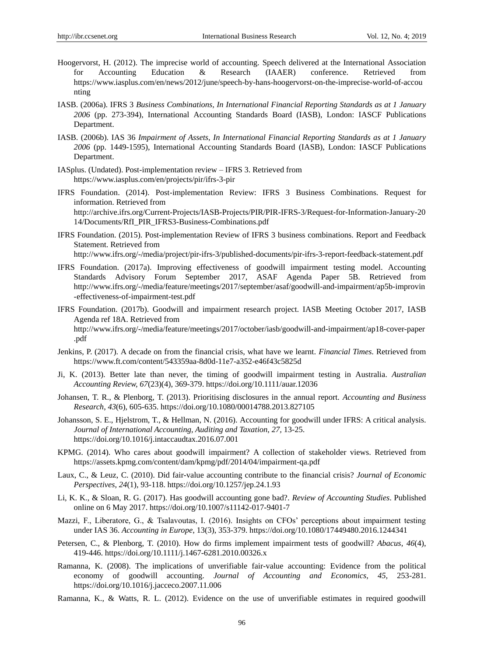- Hoogervorst, H. (2012). The imprecise world of accounting. Speech delivered at the International Association for Accounting Education & Research (IAAER) conference. Retrieved from [https://www.iasplus.com/en/news/2012/june/speech-by-hans-hoogervorst-on-the-imprecise-world-of-accou](https://www.iasplus.com/en/news/2012/june/speech-by-hans-hoogervorst-on-the-imprecise-world-of-accounting) [nting](https://www.iasplus.com/en/news/2012/june/speech-by-hans-hoogervorst-on-the-imprecise-world-of-accounting)
- IASB. (2006a). IFRS 3 *Business Combinations, In International Financial Reporting Standards as at 1 January 2006* (pp. 273-394), International Accounting Standards Board (IASB), London: IASCF Publications Department.
- IASB. (2006b). IAS 36 *Impairment of Assets*, *In International Financial Reporting Standards as at 1 January 2006* (pp. 1449-1595), International Accounting Standards Board (IASB), London: IASCF Publications Department.
- IASplus. (Undated). Post-implementation review IFRS 3. Retrieved from <https://www.iasplus.com/en/projects/pir/ifrs-3-pir>
- IFRS Foundation. (2014). Post-implementation Review: IFRS 3 Business Combinations. Request for information. Retrieved from [http://archive.ifrs.org/Current-Projects/IASB-Projects/PIR/PIR-IFRS-3/Request-for-Information-January-20](http://archive.ifrs.org/Current-Projects/IASB-Projects/PIR/PIR-IFRS-3/Request-for-Information-January-2014/Documents/RfI_PIR_IFRS3-Business-Combinations.pdf) [14/Documents/RfI\\_PIR\\_IFRS3-Business-Combinations.pdf](http://archive.ifrs.org/Current-Projects/IASB-Projects/PIR/PIR-IFRS-3/Request-for-Information-January-2014/Documents/RfI_PIR_IFRS3-Business-Combinations.pdf)
- IFRS Foundation. (2015). Post-implementation Review of IFRS 3 business combinations. Report and Feedback Statement. Retrieved from <http://www.ifrs.org/-/media/project/pir-ifrs-3/published-documents/pir-ifrs-3-report-feedback-statement.pdf>
- IFRS Foundation. (2017a). Improving effectiveness of goodwill impairment testing model. Accounting Standards Advisory Forum September 2017, ASAF Agenda Paper 5B. Retrieved from [http://www.ifrs.org/-/media/feature/meetings/2017/september/asaf/goodwill-and-impairment/ap5b-improvin](http://www.ifrs.org/-/media/feature/meetings/2017/september/asaf/goodwill-and-impairment/ap5b-improvin-effectiveness-of-impairment-test.pdf) [-effectiveness-of-impairment-test.pdf](http://www.ifrs.org/-/media/feature/meetings/2017/september/asaf/goodwill-and-impairment/ap5b-improvin-effectiveness-of-impairment-test.pdf)
- IFRS Foundation. (2017b). Goodwill and impairment research project. IASB Meeting October 2017, IASB Agenda ref 18A. Retrieved from [http://www.ifrs.org/-/media/feature/meetings/2017/october/iasb/goodwill-and-impairment/ap18-cover-paper](http://www.ifrs.org/-/media/feature/meetings/2017/october/iasb/goodwill-and-impairment/ap18-cover-paper.pdf) [.pdf](http://www.ifrs.org/-/media/feature/meetings/2017/october/iasb/goodwill-and-impairment/ap18-cover-paper.pdf)
- Jenkins, P. (2017). A decade on from the financial crisis, what have we learnt. *Financial Times*. Retrieved from <https://www.ft.com/content/543359aa-8d0d-11e7-a352-e46f43c5825d>
- Ji, K. (2013). Better late than never, the timing of goodwill impairment testing in Australia. *Australian Accounting Review, 67*(23)(4), 369-379. https://doi.org/10.1111/auar.12036
- Johansen, T. R., & Plenborg, T. (2013). Prioritising disclosures in the annual report. *Accounting and Business Research*, *43*(6), 605-635. https://doi.org/10.1080/00014788.2013.827105
- Johansson, S. E., Hjelstrom, T., & Hellman, N. (2016). Accounting for goodwill under IFRS: A critical analysis. *Journal of International Accounting, Auditing and Taxation*, *27,* 13-25. https://doi.org/10.1016/j.intaccaudtax.2016.07.001
- KPMG. (2014). Who cares about goodwill impairment? A collection of stakeholder views. Retrieved from <https://assets.kpmg.com/content/dam/kpmg/pdf/2014/04/impairment-qa.pdf>
- Laux, C., & Leuz, C. (2010). Did fair-value accounting contribute to the financial crisis? *Journal of Economic Perspectives*, *24*(1), 93-118. https://doi.org/10.1257/jep.24.1.93
- Li, K. K., & Sloan, R. G. (2017). Has goodwill accounting gone bad?. *Review of Accounting Studies*. Published online on 6 May 2017. https://doi.org/10.1007/s11142-017-9401-7
- Mazzi, F., Liberatore, G., & Tsalavoutas, I. (2016). Insights on CFOs' perceptions about impairment testing under IAS 36. *Accounting in Europe*, 13(3), 353-379. https://doi.org/10.1080/17449480.2016.1244341
- Petersen, C., & Plenborg, T. (2010). How do firms implement impairment tests of goodwill? *Abacus*, *46*(4), 419-446. https://doi.org/10.1111/j.1467-6281.2010.00326.x
- Ramanna, K. (2008). The implications of unverifiable fair-value accounting: Evidence from the political economy of goodwill accounting. *Journal of Accounting and Economics*, *45,* 253-281. https://doi.org/10.1016/j.jacceco.2007.11.006
- Ramanna, K., & Watts, R. L. (2012). Evidence on the use of unverifiable estimates in required goodwill